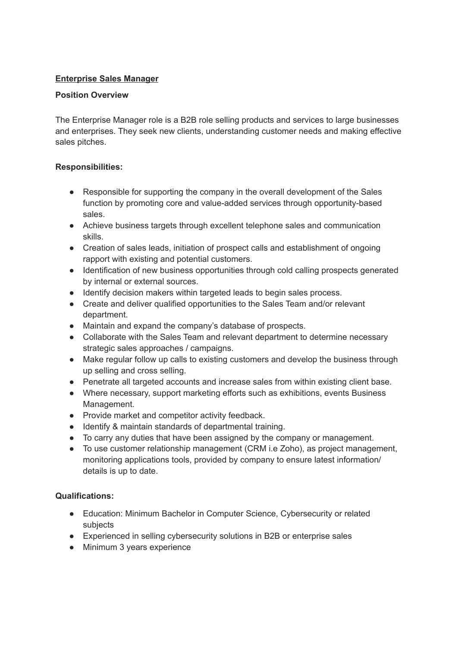# **Enterprise Sales Manager**

#### **Position Overview**

The Enterprise Manager role is a B2B role selling products and services to large businesses and enterprises. They seek new clients, understanding customer needs and making effective sales pitches.

## **Responsibilities:**

- Responsible for supporting the company in the overall development of the Sales function by promoting core and value-added services through opportunity-based sales.
- Achieve business targets through excellent telephone sales and communication skills.
- Creation of sales leads, initiation of prospect calls and establishment of ongoing rapport with existing and potential customers.
- Identification of new business opportunities through cold calling prospects generated by internal or external sources.
- Identify decision makers within targeted leads to begin sales process.
- Create and deliver qualified opportunities to the Sales Team and/or relevant department.
- Maintain and expand the company's database of prospects.
- Collaborate with the Sales Team and relevant department to determine necessary strategic sales approaches / campaigns.
- Make regular follow up calls to existing customers and develop the business through up selling and cross selling.
- Penetrate all targeted accounts and increase sales from within existing client base.
- Where necessary, support marketing efforts such as exhibitions, events Business Management.
- Provide market and competitor activity feedback.
- Identify & maintain standards of departmental training.
- To carry any duties that have been assigned by the company or management.
- To use customer relationship management (CRM i.e Zoho), as project management, monitoring applications tools, provided by company to ensure latest information/ details is up to date.

## **Qualifications:**

- Education: Minimum Bachelor in Computer Science, Cybersecurity or related subjects
- Experienced in selling cybersecurity solutions in B2B or enterprise sales
- Minimum 3 years experience